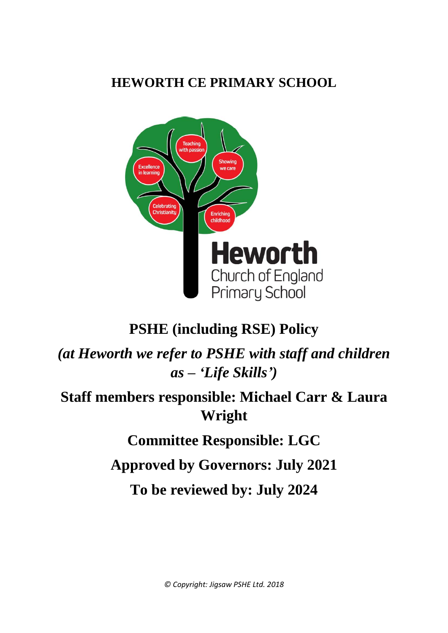# **HEWORTH CE PRIMARY SCHOOL**



# **PSHE (including RSE) Policy**

*(at Heworth we refer to PSHE with staff and children as – 'Life Skills')*

# **Staff members responsible: Michael Carr & Laura Wright**

**Committee Responsible: LGC**

**Approved by Governors: July 2021**

**To be reviewed by: July 2024**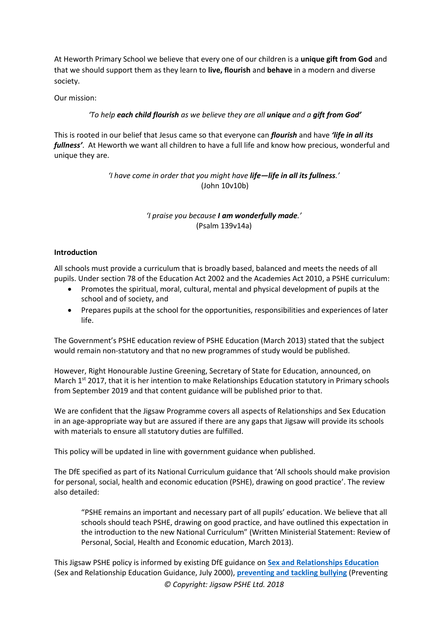At Heworth Primary School we believe that every one of our children is a **unique gift from God** and that we should support them as they learn to **live, flourish** and **behave** in a modern and diverse society.

Our mission:

## *'To help each child flourish as we believe they are all unique and a gift from God'*

This is rooted in our belief that Jesus came so that everyone can *flourish* and have *'life in all its fullness'*. At Heworth we want all children to have a full life and know how precious, wonderful and unique they are.

> *'I have come in order that you might have life—life in all its fullness.'* (John 10v10b)

> > *'I praise you because I am wonderfully made.'*  (Psalm 139v14a)

## **Introduction**

All schools must provide a curriculum that is broadly based, balanced and meets the needs of all pupils. Under section 78 of the Education Act 2002 and the Academies Act 2010, a PSHE curriculum:

- Promotes the spiritual, moral, cultural, mental and physical development of pupils at the school and of society, and
- Prepares pupils at the school for the opportunities, responsibilities and experiences of later life.

The Government's PSHE education review of PSHE Education (March 2013) stated that the subject would remain non-statutory and that no new programmes of study would be published.

However, Right Honourable Justine Greening, Secretary of State for Education, announced, on March  $1^{st}$  2017, that it is her intention to make Relationships Education statutory in Primary schools from September 2019 and that content guidance will be published prior to that.

We are confident that the Jigsaw Programme covers all aspects of Relationships and Sex Education in an age-appropriate way but are assured if there are any gaps that Jigsaw will provide its schools with materials to ensure all statutory duties are fulfilled.

This policy will be updated in line with government guidance when published.

The DfE specified as part of its National Curriculum guidance that 'All schools should make provision for personal, social, health and economic education (PSHE), drawing on good practice'. The review also detailed:

"PSHE remains an important and necessary part of all pupils' education. We believe that all schools should teach PSHE, drawing on good practice, and have outlined this expectation in the introduction to the new National Curriculum" (Written Ministerial Statement: Review of Personal, Social, Health and Economic education, March 2013).

*© Copyright: Jigsaw PSHE Ltd. 2018* This Jigsaw PSHE policy is informed by existing DfE guidance on **[Sex and Relationships Education](http://www.education.gov.uk/aboutdfe/statutory/g00214676/sex-and-relationships-education-guidance)** (Sex and Relationship Education Guidance, July 2000), **[preventing and tackling bullying](http://www.education.gov.uk/aboutdfe/advice/f0076899/preventing-and-tackling-bullying)** (Preventing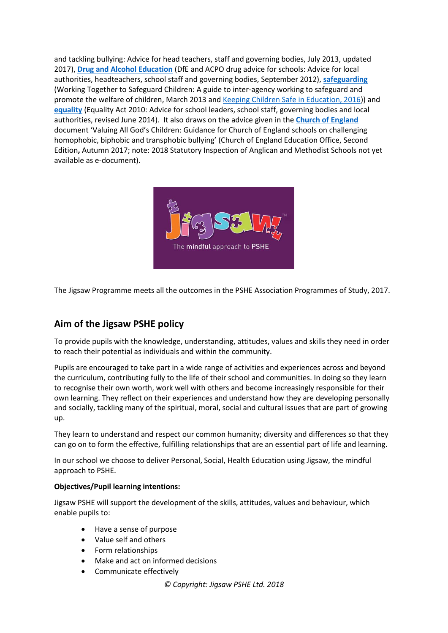and tackling bullying: Advice for head teachers, staff and governing bodies, July 2013, updated 2017), **[Drug and Alcohol Education](https://www.gov.uk/government/publications/dfe-and-acpo-drug-advice-for-schools)** (DfE and ACPO drug advice for schools: Advice for local authorities, headteachers, school staff and governing bodies, September 2012), **[safeguarding](http://www.education.gov.uk/schools/guidanceandadvice?f_category=Safeguarding&page=1)** (Working Together to Safeguard Children: A guide to inter-agency working to safeguard and promote the welfare of children, March 2013 and [Keeping Children Safe in Education, 2016\)](https://www.gov.uk/government/publications/keeping-children-safe-in-education--2)) and **[equality](http://www.education.gov.uk/aboutdfe/advice/f00215460/equality-act-2010-departmental-advice)** (Equality Act 2010: Advice for school leaders, school staff, governing bodies and local authorities, revised June 2014). It also draws on the advice given in the **[Church of England](http://www.education.gov.uk/aboutdfe/advice/f00215460/equality-act-2010-departmental-advice)** document 'Valuing All God's Children: Guidance for Church of England schools on challenging homophobic, biphobic and transphobic bullying' (Church of England Education Office, Second Edition**,** Autumn 2017; note: 2018 Statutory Inspection of Anglican and Methodist Schools not yet available as e-document).



The Jigsaw Programme meets all the outcomes in the PSHE Association Programmes of Study, 2017.

## **Aim of the Jigsaw PSHE policy**

To provide pupils with the knowledge, understanding, attitudes, values and skills they need in order to reach their potential as individuals and within the community.

Pupils are encouraged to take part in a wide range of activities and experiences across and beyond the curriculum, contributing fully to the life of their school and communities. In doing so they learn to recognise their own worth, work well with others and become increasingly responsible for their own learning. They reflect on their experiences and understand how they are developing personally and socially, tackling many of the spiritual, moral, social and cultural issues that are part of growing up.

They learn to understand and respect our common humanity; diversity and differences so that they can go on to form the effective, fulfilling relationships that are an essential part of life and learning.

In our school we choose to deliver Personal, Social, Health Education using Jigsaw, the mindful approach to PSHE.

## **Objectives/Pupil learning intentions:**

Jigsaw PSHE will support the development of the skills, attitudes, values and behaviour, which enable pupils to:

- Have a sense of purpose
- Value self and others
- Form relationships
- Make and act on informed decisions
- Communicate effectively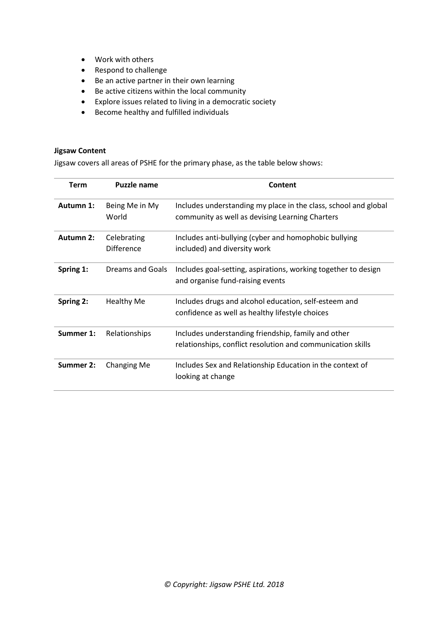- Work with others
- Respond to challenge
- Be an active partner in their own learning
- Be active citizens within the local community
- Explore issues related to living in a democratic society
- Become healthy and fulfilled individuals

#### **Jigsaw Content**

Jigsaw covers all areas of PSHE for the primary phase, as the table below shows:

| Term             | <b>Puzzle name</b>               | Content                                                                                                            |
|------------------|----------------------------------|--------------------------------------------------------------------------------------------------------------------|
| Autumn 1:        | Being Me in My<br>World          | Includes understanding my place in the class, school and global<br>community as well as devising Learning Charters |
| <b>Autumn 2:</b> | Celebrating<br><b>Difference</b> | Includes anti-bullying (cyber and homophobic bullying<br>included) and diversity work                              |
| Spring 1:        | Dreams and Goals                 | Includes goal-setting, aspirations, working together to design<br>and organise fund-raising events                 |
| Spring 2:        | <b>Healthy Me</b>                | Includes drugs and alcohol education, self-esteem and<br>confidence as well as healthy lifestyle choices           |
| Summer 1:        | <b>Relationships</b>             | Includes understanding friendship, family and other<br>relationships, conflict resolution and communication skills |
| Summer 2:        | Changing Me                      | Includes Sex and Relationship Education in the context of<br>looking at change                                     |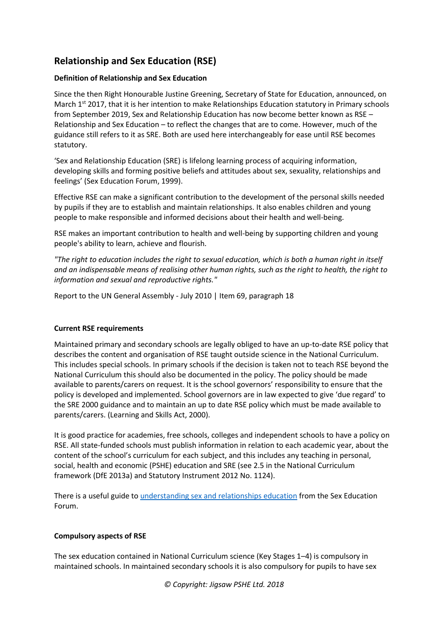## **Relationship and Sex Education (RSE)**

## **Definition of Relationship and Sex Education**

Since the then Right Honourable Justine Greening, Secretary of State for Education, announced, on March  $1^{st}$  2017, that it is her intention to make Relationships Education statutory in Primary schools from September 2019, Sex and Relationship Education has now become better known as RSE – Relationship and Sex Education – to reflect the changes that are to come. However, much of the guidance still refers to it as SRE. Both are used here interchangeably for ease until RSE becomes statutory.

'Sex and Relationship Education (SRE) is lifelong learning process of acquiring information, developing skills and forming positive beliefs and attitudes about sex, sexuality, relationships and feelings' (Sex Education Forum, 1999).

Effective RSE can make a significant contribution to the development of the personal skills needed by pupils if they are to establish and maintain relationships. It also enables children and young people to make responsible and informed decisions about their health and well-being.

RSE makes an important contribution to health and well-being by supporting children and young people's ability to learn, achieve and flourish.

*"The right to education includes the right to sexual education, which is both a human right in itself and an indispensable means of realising other human rights, such as the right to health, the right to information and sexual and reproductive rights."*

Report to the UN General Assembly - July 2010 | Item 69, paragraph 18

## **Current RSE requirements**

Maintained primary and secondary schools are legally obliged to have an up-to-date RSE policy that describes the content and organisation of RSE taught outside science in the National Curriculum. This includes special schools. In primary schools if the decision is taken not to teach RSE beyond the National Curriculum this should also be documented in the policy. The policy should be made available to parents/carers on request. It is the school governors' responsibility to ensure that the policy is developed and implemented. School governors are in law expected to give 'due regard' to the SRE 2000 guidance and to maintain an up to date RSE policy which must be made available to parents/carers. (Learning and Skills Act, 2000).

It is good practice for academies, free schools, colleges and independent schools to have a policy on RSE. All state-funded schools must publish information in relation to each academic year, about the content of the school's curriculum for each subject, and this includes any teaching in personal, social, health and economic (PSHE) education and SRE (see 2.5 in the National Curriculum framework (DfE 2013a) and Statutory Instrument 2012 No. 1124).

There is a useful guide to [understanding sex and relationships education](http://www.sexeducationforum.org.uk/media/2572/understanding_sre_2010.pdf) from the Sex Education Forum.

## **Compulsory aspects of RSE**

The sex education contained in National Curriculum science (Key Stages 1–4) is compulsory in maintained schools. In maintained secondary schools it is also compulsory for pupils to have sex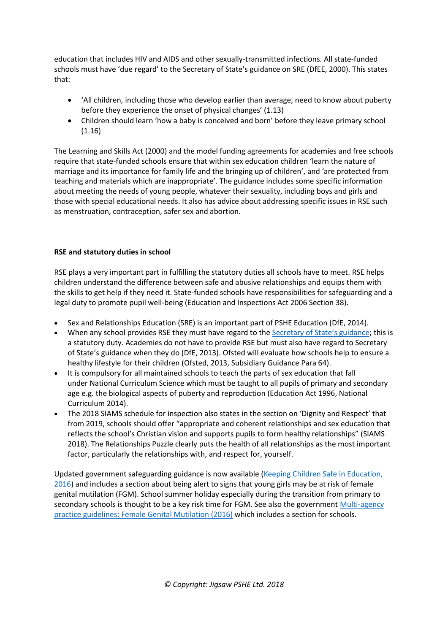education that includes HIV and AIDS and other sexually-transmitted infections. All state-funded schools must have 'due regard' to the Secretary of State's guidance on SRE (DfEE, 2000). This states that:

- 'All children, including those who develop earlier than average, need to know about puberty before they experience the onset of physical changes' (1.13)
- Children should learn 'how a baby is conceived and born' before they leave primary school (1.16)

The Learning and Skills Act (2000) and the model funding agreements for academies and free schools require that state-funded schools ensure that within sex education children 'learn the nature of marriage and its importance for family life and the bringing up of children', and 'are protected from teaching and materials which are inappropriate'. The guidance includes some specific information about meeting the needs of young people, whatever their sexuality, including boys and girls and those with special educational needs. It also has advice about addressing specific issues in RSE such as menstruation, contraception, safer sex and abortion.

## **RSE and statutory duties in school**

RSE plays a very important part in fulfilling the statutory duties all schools have to meet. RSE helps children understand the difference between safe and abusive relationships and equips them with the skills to get help if they need it. State-funded schools have responsibilities for safeguarding and a legal duty to promote pupil well-being (Education and Inspections Act 2006 Section 38).

- Sex and Relationships Education (SRE) is an important part of PSHE Education (DfE, 2014).
- When any school provides RSE they must have regard to the [Secretary of State's guidance](http://webarchive.nationalarchives.gov.uk/20130401151715/https:/www.education.gov.uk/publications/eOrderingDownload/DfES-0116-2000%20SRE.pdf); this is a statutory duty. Academies do not have to provide RSE but must also have regard to Secretary of State's guidance when they do (DfE, 2013). Ofsted will evaluate how schools help to ensure a healthy lifestyle for their children (Ofsted, 2013, Subsidiary Guidance Para 64).
- It is compulsory for all maintained schools to teach the parts of sex education that fall under National Curriculum Science which must be taught to all pupils of primary and secondary age e.g. the biological aspects of puberty and reproduction (Education Act 1996, National Curriculum 2014).
- The 2018 SIAMS schedule for inspection also states in the section on 'Dignity and Respect' that from 2019, schools should offer "appropriate and coherent relationships and sex education that reflects the school's Christian vision and supports pupils to form healthy relationships" (SIAMS 2018). The Relationships Puzzle clearly puts the health of all relationships as the most important factor, particularly the relationships with, and respect for, yourself.

Updated government safeguarding guidance is now available [\(Keeping Children Safe in Education,](https://www.gov.uk/government/publications/keeping-children-safe-in-education--2)  [2016\)](https://www.gov.uk/government/publications/keeping-children-safe-in-education--2) and includes a section about being alert to signs that young girls may be at risk of female genital mutilation (FGM). School summer holiday especially during the transition from primary to secondary schools is thought to be a key risk time for FGM. See also the governmen[t Multi-agency](https://www.gov.uk/government/publications/multi-agency-statutory-guidance-on-female-genital-mutilation)  practice guidelines: [Female Genital Mutilation \(2016\)](https://www.gov.uk/government/publications/multi-agency-statutory-guidance-on-female-genital-mutilation) which includes a section for schools.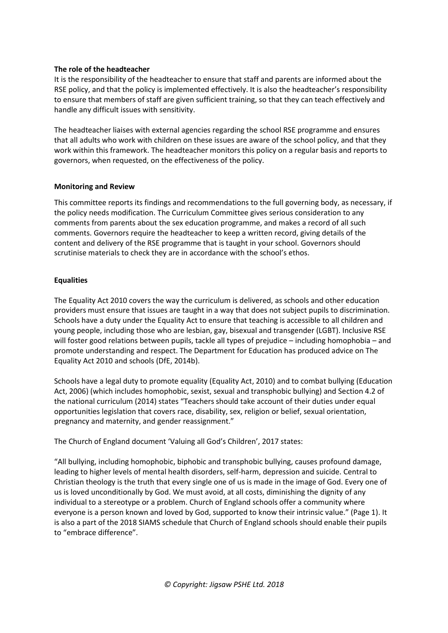## **The role of the headteacher**

It is the responsibility of the headteacher to ensure that staff and parents are informed about the RSE policy, and that the policy is implemented effectively. It is also the headteacher's responsibility to ensure that members of staff are given sufficient training, so that they can teach effectively and handle any difficult issues with sensitivity.

The headteacher liaises with external agencies regarding the school RSE programme and ensures that all adults who work with children on these issues are aware of the school policy, and that they work within this framework. The headteacher monitors this policy on a regular basis and reports to governors, when requested, on the effectiveness of the policy.

## **Monitoring and Review**

This committee reports its findings and recommendations to the full governing body, as necessary, if the policy needs modification. The Curriculum Committee gives serious consideration to any comments from parents about the sex education programme, and makes a record of all such comments. Governors require the headteacher to keep a written record, giving details of the content and delivery of the RSE programme that is taught in your school. Governors should scrutinise materials to check they are in accordance with the school's ethos.

## **Equalities**

The Equality Act 2010 covers the way the curriculum is delivered, as schools and other education providers must ensure that issues are taught in a way that does not subject pupils to discrimination. Schools have a duty under the Equality Act to ensure that teaching is accessible to all children and young people, including those who are lesbian, gay, bisexual and transgender (LGBT). Inclusive RSE will foster good relations between pupils, tackle all types of prejudice – including homophobia – and promote understanding and respect. The Department for Education has produced advice on The Equality Act 2010 and schools (DfE, 2014b).

Schools have a legal duty to promote equality (Equality Act, 2010) and to combat bullying (Education Act, 2006) (which includes homophobic, sexist, sexual and transphobic bullying) and Section 4.2 of the national curriculum (2014) states "Teachers should take account of their duties under equal opportunities legislation that covers race, disability, sex, religion or belief, sexual orientation, pregnancy and maternity, and gender reassignment."

The Church of England document 'Valuing all God's Children', 2017 states:

"All bullying, including homophobic, biphobic and transphobic bullying, causes profound damage, leading to higher levels of mental health disorders, self-harm, depression and suicide. Central to Christian theology is the truth that every single one of us is made in the image of God. Every one of us is loved unconditionally by God. We must avoid, at all costs, diminishing the dignity of any individual to a stereotype or a problem. Church of England schools offer a community where everyone is a person known and loved by God, supported to know their intrinsic value." (Page 1). It is also a part of the 2018 SIAMS schedule that Church of England schools should enable their pupils to "embrace difference".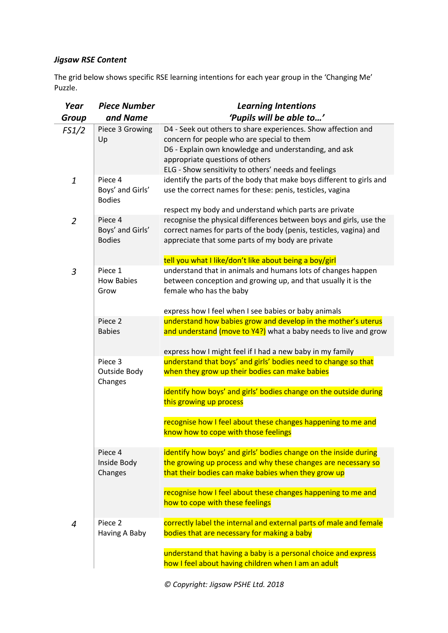## *Jigsaw RSE Content*

The grid below shows specific RSE learning intentions for each year group in the 'Changing Me' Puzzle.

| Year             | <b>Piece Number</b>                          | <b>Learning Intentions</b>                                                                                                                                                                                                                                                                                                                                                                                                                                                                                                                                                                                                                                                                                                |  |
|------------------|----------------------------------------------|---------------------------------------------------------------------------------------------------------------------------------------------------------------------------------------------------------------------------------------------------------------------------------------------------------------------------------------------------------------------------------------------------------------------------------------------------------------------------------------------------------------------------------------------------------------------------------------------------------------------------------------------------------------------------------------------------------------------------|--|
| <b>Group</b>     | and Name                                     | 'Pupils will be able to'                                                                                                                                                                                                                                                                                                                                                                                                                                                                                                                                                                                                                                                                                                  |  |
| FS1/2            | Piece 3 Growing<br>Up                        | D4 - Seek out others to share experiences. Show affection and<br>concern for people who are special to them<br>D6 - Explain own knowledge and understanding, and ask<br>appropriate questions of others<br>ELG - Show sensitivity to others' needs and feelings<br>identify the parts of the body that make boys different to girls and<br>use the correct names for these: penis, testicles, vagina<br>respect my body and understand which parts are private<br>recognise the physical differences between boys and girls, use the<br>correct names for parts of the body (penis, testicles, vagina) and<br>appreciate that some parts of my body are private<br>tell you what I like/don't like about being a boy/girl |  |
| $\boldsymbol{1}$ | Piece 4<br>Boys' and Girls'<br><b>Bodies</b> |                                                                                                                                                                                                                                                                                                                                                                                                                                                                                                                                                                                                                                                                                                                           |  |
| $\overline{2}$   | Piece 4<br>Boys' and Girls'<br><b>Bodies</b> |                                                                                                                                                                                                                                                                                                                                                                                                                                                                                                                                                                                                                                                                                                                           |  |
|                  | Piece 1                                      | understand that in animals and humans lots of changes happen                                                                                                                                                                                                                                                                                                                                                                                                                                                                                                                                                                                                                                                              |  |
| 3                | <b>How Babies</b><br>Grow                    | between conception and growing up, and that usually it is the<br>female who has the baby                                                                                                                                                                                                                                                                                                                                                                                                                                                                                                                                                                                                                                  |  |
|                  |                                              | express how I feel when I see babies or baby animals                                                                                                                                                                                                                                                                                                                                                                                                                                                                                                                                                                                                                                                                      |  |
|                  | Piece 2<br><b>Babies</b>                     | understand how babies grow and develop in the mother's uterus<br>and understand (move to Y4?) what a baby needs to live and grow                                                                                                                                                                                                                                                                                                                                                                                                                                                                                                                                                                                          |  |
|                  |                                              | express how I might feel if I had a new baby in my family                                                                                                                                                                                                                                                                                                                                                                                                                                                                                                                                                                                                                                                                 |  |
|                  | Piece 3<br>Outside Body<br>Changes           | understand that boys' and girls' bodies need to change so that<br>when they grow up their bodies can make babies                                                                                                                                                                                                                                                                                                                                                                                                                                                                                                                                                                                                          |  |
|                  |                                              | identify how boys' and girls' bodies change on the outside during<br>this growing up process                                                                                                                                                                                                                                                                                                                                                                                                                                                                                                                                                                                                                              |  |
|                  |                                              | recognise how I feel about these changes happening to me and<br>know how to cope with those feelings                                                                                                                                                                                                                                                                                                                                                                                                                                                                                                                                                                                                                      |  |
|                  | Piece 4<br>Inside Body<br>Changes            | identify how boys' and girls' bodies change on the inside during<br>the growing up process and why these changes are necessary so<br>that their bodies can make babies when they grow up                                                                                                                                                                                                                                                                                                                                                                                                                                                                                                                                  |  |
|                  |                                              | recognise how I feel about these changes happening to me and<br>how to cope with these feelings                                                                                                                                                                                                                                                                                                                                                                                                                                                                                                                                                                                                                           |  |
| 4                | Piece <sub>2</sub><br>Having A Baby          | correctly label the internal and external parts of male and female<br>bodies that are necessary for making a baby                                                                                                                                                                                                                                                                                                                                                                                                                                                                                                                                                                                                         |  |
|                  |                                              | understand that having a baby is a personal choice and express<br>how I feel about having children when I am an adult                                                                                                                                                                                                                                                                                                                                                                                                                                                                                                                                                                                                     |  |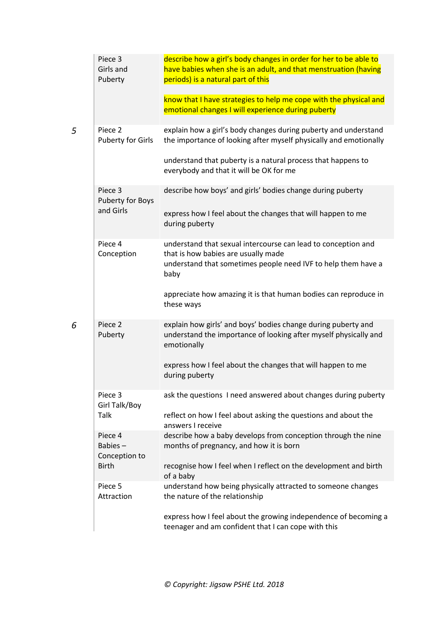| Piece 3<br>Girls and<br>Puberty                | describe how a girl's body changes in order for her to be able to<br>have babies when she is an adult, and that menstruation (having<br>periods) is a natural part of this    |
|------------------------------------------------|-------------------------------------------------------------------------------------------------------------------------------------------------------------------------------|
|                                                | know that I have strategies to help me cope with the physical and<br>emotional changes I will experience during puberty                                                       |
| Piece <sub>2</sub><br><b>Puberty for Girls</b> | explain how a girl's body changes during puberty and understand<br>the importance of looking after myself physically and emotionally                                          |
|                                                | understand that puberty is a natural process that happens to<br>everybody and that it will be OK for me                                                                       |
| Piece 3<br>Puberty for Boys                    | describe how boys' and girls' bodies change during puberty                                                                                                                    |
| and Girls                                      | express how I feel about the changes that will happen to me<br>during puberty                                                                                                 |
| Piece 4<br>Conception                          | understand that sexual intercourse can lead to conception and<br>that is how babies are usually made<br>understand that sometimes people need IVF to help them have a<br>baby |
|                                                | appreciate how amazing it is that human bodies can reproduce in<br>these ways                                                                                                 |
| Piece 2<br>Puberty                             | explain how girls' and boys' bodies change during puberty and<br>understand the importance of looking after myself physically and<br>emotionally                              |
|                                                | express how I feel about the changes that will happen to me<br>during puberty                                                                                                 |
| Piece 3<br>Girl Talk/Boy                       | ask the questions I need answered about changes during puberty                                                                                                                |
| Talk                                           | reflect on how I feel about asking the questions and about the<br>answers I receive                                                                                           |
| Piece 4<br>Babies-<br>Conception to            | describe how a baby develops from conception through the nine<br>months of pregnancy, and how it is born                                                                      |
| <b>Birth</b>                                   | recognise how I feel when I reflect on the development and birth<br>of a baby                                                                                                 |
| Piece 5<br>Attraction                          | understand how being physically attracted to someone changes<br>the nature of the relationship                                                                                |
|                                                | express how I feel about the growing independence of becoming a<br>teenager and am confident that I can cope with this                                                        |

*5* Piece 2

*6* Piece 2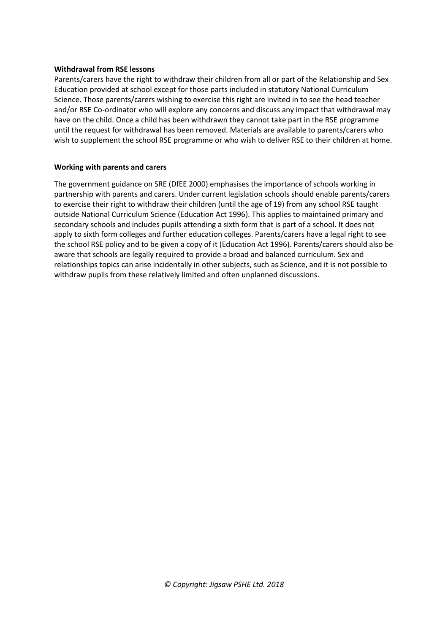### **Withdrawal from RSE lessons**

Parents/carers have the right to withdraw their children from all or part of the Relationship and Sex Education provided at school except for those parts included in statutory National Curriculum Science. Those parents/carers wishing to exercise this right are invited in to see the head teacher and/or RSE Co-ordinator who will explore any concerns and discuss any impact that withdrawal may have on the child. Once a child has been withdrawn they cannot take part in the RSE programme until the request for withdrawal has been removed. Materials are available to parents/carers who wish to supplement the school RSE programme or who wish to deliver RSE to their children at home.

#### **Working with parents and carers**

The government guidance on SRE (DfEE 2000) emphasises the importance of schools working in partnership with parents and carers. Under current legislation schools should enable parents/carers to exercise their right to withdraw their children (until the age of 19) from any school RSE taught outside National Curriculum Science (Education Act 1996). This applies to maintained primary and secondary schools and includes pupils attending a sixth form that is part of a school. It does not apply to sixth form colleges and further education colleges. Parents/carers have a legal right to see the school RSE policy and to be given a copy of it (Education Act 1996). Parents/carers should also be aware that schools are legally required to provide a broad and balanced curriculum. Sex and relationships topics can arise incidentally in other subjects, such as Science, and it is not possible to withdraw pupils from these relatively limited and often unplanned discussions.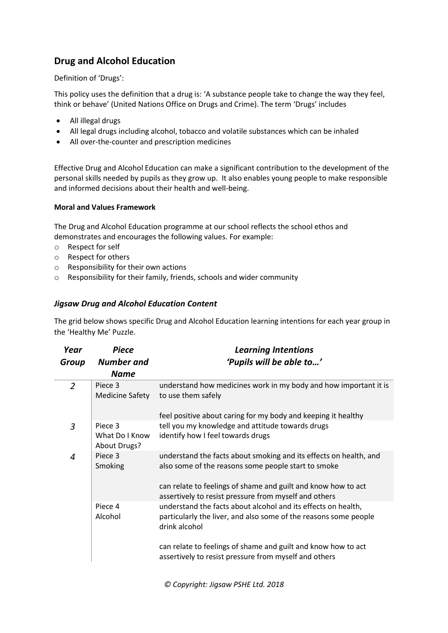## **Drug and Alcohol Education**

Definition of 'Drugs':

This policy uses the definition that a drug is: 'A substance people take to change the way they feel, think or behave' (United Nations Office on Drugs and Crime). The term 'Drugs' includes

- All illegal drugs
- All legal drugs including alcohol, tobacco and volatile substances which can be inhaled
- All over-the-counter and prescription medicines

Effective Drug and Alcohol Education can make a significant contribution to the development of the personal skills needed by pupils as they grow up. It also enables young people to make responsible and informed decisions about their health and well-being.

## **Moral and Values Framework**

The Drug and Alcohol Education programme at our school reflects the school ethos and demonstrates and encourages the following values. For example:

- o Respect for self
- o Respect for others
- o Responsibility for their own actions
- o Responsibility for their family, friends, schools and wider community

## *Jigsaw Drug and Alcohol Education Content*

The grid below shows specific Drug and Alcohol Education learning intentions for each year group in the 'Healthy Me' Puzzle.

| Year             | <b>Piece</b>                              | <b>Learning Intentions</b>                                                                                                                                                                                                                                                   |  |
|------------------|-------------------------------------------|------------------------------------------------------------------------------------------------------------------------------------------------------------------------------------------------------------------------------------------------------------------------------|--|
| Group            | <b>Number</b> and                         | 'Pupils will be able to'                                                                                                                                                                                                                                                     |  |
| <b>Name</b>      |                                           |                                                                                                                                                                                                                                                                              |  |
| $\overline{2}$   | Piece 3<br><b>Medicine Safety</b>         | understand how medicines work in my body and how important it is<br>to use them safely<br>feel positive about caring for my body and keeping it healthy                                                                                                                      |  |
| 3                | Piece 3<br>What Do I Know<br>About Drugs? | tell you my knowledge and attitude towards drugs<br>identify how I feel towards drugs                                                                                                                                                                                        |  |
| $\boldsymbol{4}$ | Piece 3<br>Smoking                        | understand the facts about smoking and its effects on health, and<br>also some of the reasons some people start to smoke<br>can relate to feelings of shame and guilt and know how to act<br>assertively to resist pressure from myself and others                           |  |
|                  | Piece 4<br>Alcohol                        | understand the facts about alcohol and its effects on health,<br>particularly the liver, and also some of the reasons some people<br>drink alcohol<br>can relate to feelings of shame and guilt and know how to act<br>assertively to resist pressure from myself and others |  |
|                  |                                           |                                                                                                                                                                                                                                                                              |  |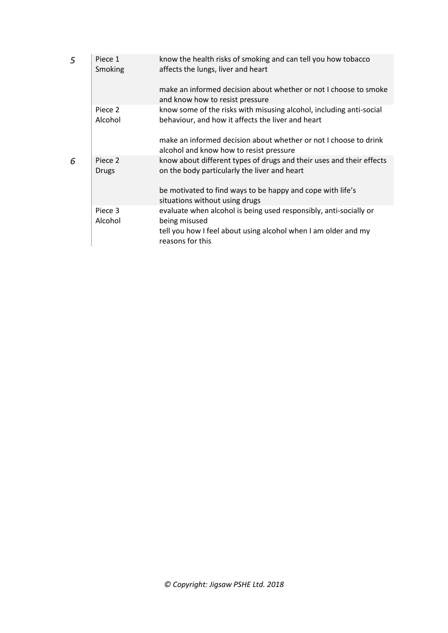| 5 | Piece 1<br>Smoking | know the health risks of smoking and can tell you how tobacco<br>affects the lungs, liver and heart                      |
|---|--------------------|--------------------------------------------------------------------------------------------------------------------------|
|   |                    | make an informed decision about whether or not I choose to smoke<br>and know how to resist pressure                      |
|   | Piece 2<br>Alcohol | know some of the risks with misusing alcohol, including anti-social<br>behaviour, and how it affects the liver and heart |
|   |                    | make an informed decision about whether or not I choose to drink<br>alcohol and know how to resist pressure              |
| 6 | Piece 2<br>Drugs   | know about different types of drugs and their uses and their effects<br>on the body particularly the liver and heart     |
|   |                    | be motivated to find ways to be happy and cope with life's<br>situations without using drugs                             |
|   | Piece 3<br>Alcohol | evaluate when alcohol is being used responsibly, anti-socially or<br>being misused                                       |
|   |                    | tell you how I feel about using alcohol when I am older and my<br>reasons for this                                       |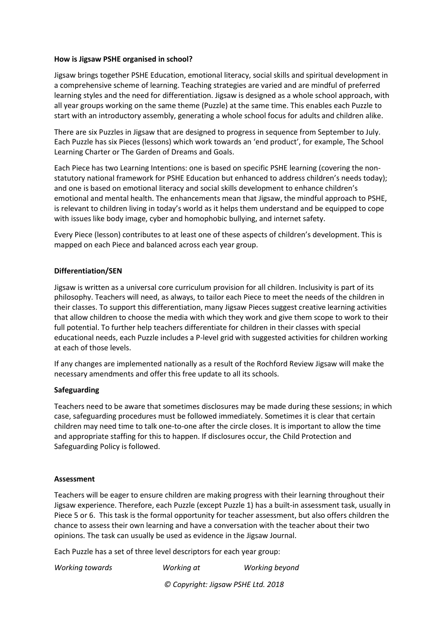#### **How is Jigsaw PSHE organised in school?**

Jigsaw brings together PSHE Education, emotional literacy, social skills and spiritual development in a comprehensive scheme of learning. Teaching strategies are varied and are mindful of preferred learning styles and the need for differentiation. Jigsaw is designed as a whole school approach, with all year groups working on the same theme (Puzzle) at the same time. This enables each Puzzle to start with an introductory assembly, generating a whole school focus for adults and children alike.

There are six Puzzles in Jigsaw that are designed to progress in sequence from September to July. Each Puzzle has six Pieces (lessons) which work towards an 'end product', for example, The School Learning Charter or The Garden of Dreams and Goals.

Each Piece has two Learning Intentions: one is based on specific PSHE learning (covering the nonstatutory national framework for PSHE Education but enhanced to address children's needs today); and one is based on emotional literacy and social skills development to enhance children's emotional and mental health. The enhancements mean that Jigsaw, the mindful approach to PSHE, is relevant to children living in today's world as it helps them understand and be equipped to cope with issues like body image, cyber and homophobic bullying, and internet safety.

Every Piece (lesson) contributes to at least one of these aspects of children's development. This is mapped on each Piece and balanced across each year group.

## **Differentiation/SEN**

Jigsaw is written as a universal core curriculum provision for all children. Inclusivity is part of its philosophy. Teachers will need, as always, to tailor each Piece to meet the needs of the children in their classes. To support this differentiation, many Jigsaw Pieces suggest creative learning activities that allow children to choose the media with which they work and give them scope to work to their full potential. To further help teachers differentiate for children in their classes with special educational needs, each Puzzle includes a P-level grid with suggested activities for children working at each of those levels.

If any changes are implemented nationally as a result of the Rochford Review Jigsaw will make the necessary amendments and offer this free update to all its schools.

## **Safeguarding**

Teachers need to be aware that sometimes disclosures may be made during these sessions; in which case, safeguarding procedures must be followed immediately. Sometimes it is clear that certain children may need time to talk one-to-one after the circle closes. It is important to allow the time and appropriate staffing for this to happen. If disclosures occur, the Child Protection and Safeguarding Policy is followed.

## **Assessment**

Teachers will be eager to ensure children are making progress with their learning throughout their Jigsaw experience. Therefore, each Puzzle (except Puzzle 1) has a built-in assessment task, usually in Piece 5 or 6. This task is the formal opportunity for teacher assessment, but also offers children the chance to assess their own learning and have a conversation with the teacher about their two opinions. The task can usually be used as evidence in the Jigsaw Journal.

Each Puzzle has a set of three level descriptors for each year group:

| Working towards | Working at                         | Working beyond |
|-----------------|------------------------------------|----------------|
|                 | © Copyright: Jigsaw PSHE Ltd. 2018 |                |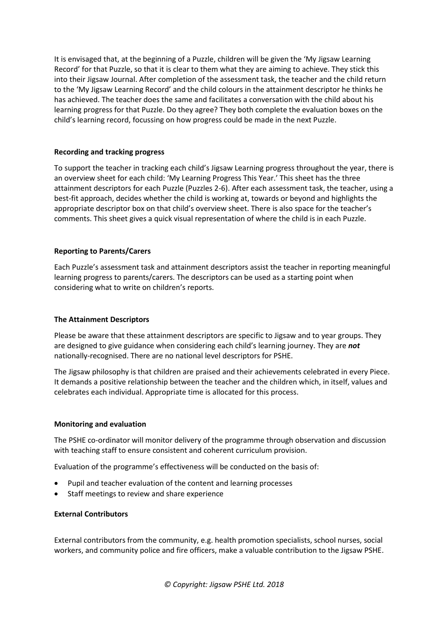It is envisaged that, at the beginning of a Puzzle, children will be given the 'My Jigsaw Learning Record' for that Puzzle, so that it is clear to them what they are aiming to achieve. They stick this into their Jigsaw Journal. After completion of the assessment task, the teacher and the child return to the 'My Jigsaw Learning Record' and the child colours in the attainment descriptor he thinks he has achieved. The teacher does the same and facilitates a conversation with the child about his learning progress for that Puzzle. Do they agree? They both complete the evaluation boxes on the child's learning record, focussing on how progress could be made in the next Puzzle.

## **Recording and tracking progress**

To support the teacher in tracking each child's Jigsaw Learning progress throughout the year, there is an overview sheet for each child: 'My Learning Progress This Year.' This sheet has the three attainment descriptors for each Puzzle (Puzzles 2-6). After each assessment task, the teacher, using a best-fit approach, decides whether the child is working at, towards or beyond and highlights the appropriate descriptor box on that child's overview sheet. There is also space for the teacher's comments. This sheet gives a quick visual representation of where the child is in each Puzzle.

## **Reporting to Parents/Carers**

Each Puzzle's assessment task and attainment descriptors assist the teacher in reporting meaningful learning progress to parents/carers. The descriptors can be used as a starting point when considering what to write on children's reports.

## **The Attainment Descriptors**

Please be aware that these attainment descriptors are specific to Jigsaw and to year groups. They are designed to give guidance when considering each child's learning journey. They are *not* nationally-recognised. There are no national level descriptors for PSHE.

The Jigsaw philosophy is that children are praised and their achievements celebrated in every Piece. It demands a positive relationship between the teacher and the children which, in itself, values and celebrates each individual. Appropriate time is allocated for this process.

## **Monitoring and evaluation**

The PSHE co-ordinator will monitor delivery of the programme through observation and discussion with teaching staff to ensure consistent and coherent curriculum provision.

Evaluation of the programme's effectiveness will be conducted on the basis of:

- Pupil and teacher evaluation of the content and learning processes
- Staff meetings to review and share experience

## **External Contributors**

External contributors from the community, e.g. health promotion specialists, school nurses, social workers, and community police and fire officers, make a valuable contribution to the Jigsaw PSHE.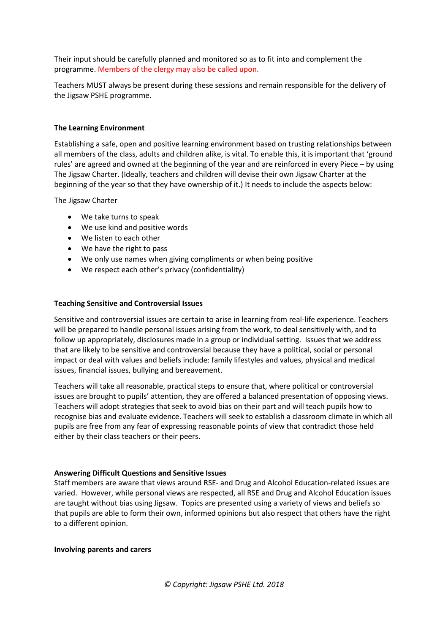Their input should be carefully planned and monitored so as to fit into and complement the programme. Members of the clergy may also be called upon.

Teachers MUST always be present during these sessions and remain responsible for the delivery of the Jigsaw PSHE programme.

#### **The Learning Environment**

Establishing a safe, open and positive learning environment based on trusting relationships between all members of the class, adults and children alike, is vital. To enable this, it is important that 'ground rules' are agreed and owned at the beginning of the year and are reinforced in every Piece – by using The Jigsaw Charter. (Ideally, teachers and children will devise their own Jigsaw Charter at the beginning of the year so that they have ownership of it.) It needs to include the aspects below:

The Jigsaw Charter

- We take turns to speak
- We use kind and positive words
- We listen to each other
- We have the right to pass
- We only use names when giving compliments or when being positive
- We respect each other's privacy (confidentiality)

#### **Teaching Sensitive and Controversial Issues**

Sensitive and controversial issues are certain to arise in learning from real-life experience. Teachers will be prepared to handle personal issues arising from the work, to deal sensitively with, and to follow up appropriately, disclosures made in a group or individual setting. Issues that we address that are likely to be sensitive and controversial because they have a political, social or personal impact or deal with values and beliefs include: family lifestyles and values, physical and medical issues, financial issues, bullying and bereavement.

Teachers will take all reasonable, practical steps to ensure that, where political or controversial issues are brought to pupils' attention, they are offered a balanced presentation of opposing views. Teachers will adopt strategies that seek to avoid bias on their part and will teach pupils how to recognise bias and evaluate evidence. Teachers will seek to establish a classroom climate in which all pupils are free from any fear of expressing reasonable points of view that contradict those held either by their class teachers or their peers.

#### **Answering Difficult Questions and Sensitive Issues**

Staff members are aware that views around RSE- and Drug and Alcohol Education-related issues are varied. However, while personal views are respected, all RSE and Drug and Alcohol Education issues are taught without bias using Jigsaw. Topics are presented using a variety of views and beliefs so that pupils are able to form their own, informed opinions but also respect that others have the right to a different opinion.

#### **Involving parents and carers**